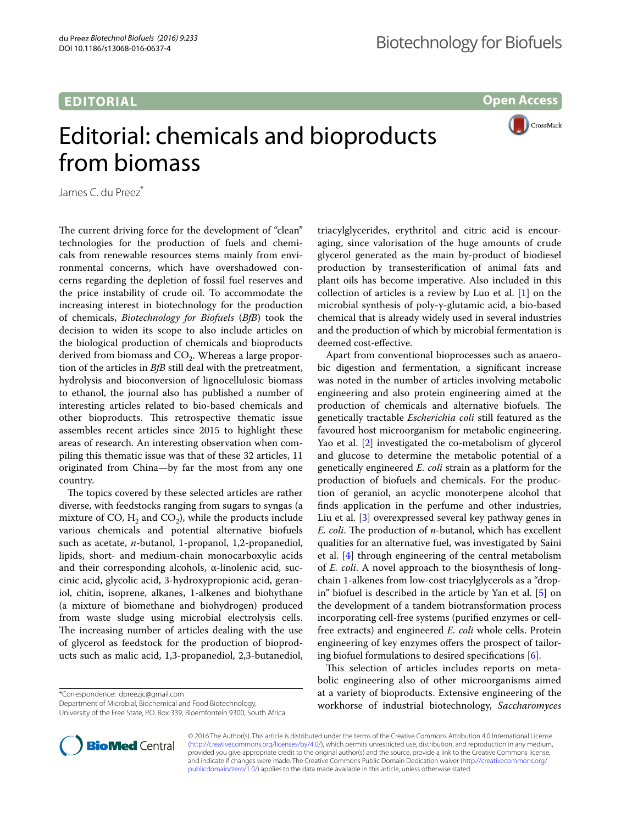## **EDITORIAL**

**Open Access**

CrossMark

## Editorial: chemicals and bioproducts from biomass

James C. du Preez<sup>\*</sup>

The current driving force for the development of "clean" technologies for the production of fuels and chemicals from renewable resources stems mainly from environmental concerns, which have overshadowed concerns regarding the depletion of fossil fuel reserves and the price instability of crude oil. To accommodate the increasing interest in biotechnology for the production of chemicals, *Biotechnology for Biofuels* (*BfB*) took the decision to widen its scope to also include articles on the biological production of chemicals and bioproducts derived from biomass and  $CO<sub>2</sub>$ . Whereas a large proportion of the articles in *BfB* still deal with the pretreatment, hydrolysis and bioconversion of lignocellulosic biomass to ethanol, the journal also has published a number of interesting articles related to bio-based chemicals and other bioproducts. This retrospective thematic issue assembles recent articles since 2015 to highlight these areas of research. An interesting observation when compiling this thematic issue was that of these 32 articles, 11 originated from China—by far the most from any one country.

The topics covered by these selected articles are rather diverse, with feedstocks ranging from sugars to syngas (a mixture of CO,  $H_2$  and CO<sub>2</sub>), while the products include various chemicals and potential alternative biofuels such as acetate, *n*-butanol, 1-propanol, 1,2-propanediol, lipids, short- and medium-chain monocarboxylic acids and their corresponding alcohols, α-linolenic acid, succinic acid, glycolic acid, 3-hydroxypropionic acid, geraniol, chitin, isoprene, alkanes, 1-alkenes and biohythane (a mixture of biomethane and biohydrogen) produced from waste sludge using microbial electrolysis cells. The increasing number of articles dealing with the use of glycerol as feedstock for the production of bioproducts such as malic acid, 1,3-propanediol, 2,3-butanediol,

\*Correspondence: dpreezjc@gmail.com

Department of Microbial, Biochemical and Food Biotechnology, University of the Free State, P.O. Box 339, Bloemfontein 9300, South Africa triacylglycerides, erythritol and citric acid is encouraging, since valorisation of the huge amounts of crude glycerol generated as the main by-product of biodiesel production by transesterification of animal fats and plant oils has become imperative. Also included in this collection of articles is a review by Luo et al. [\[1\]](#page-1-0) on the microbial synthesis of poly-γ-glutamic acid, a bio-based chemical that is already widely used in several industries and the production of which by microbial fermentation is deemed cost-effective.

Apart from conventional bioprocesses such as anaerobic digestion and fermentation, a significant increase was noted in the number of articles involving metabolic engineering and also protein engineering aimed at the production of chemicals and alternative biofuels. The genetically tractable *Escherichia coli* still featured as the favoured host microorganism for metabolic engineering. Yao et al. [\[2](#page-1-1)] investigated the co-metabolism of glycerol and glucose to determine the metabolic potential of a genetically engineered *E. coli* strain as a platform for the production of biofuels and chemicals. For the production of geraniol, an acyclic monoterpene alcohol that finds application in the perfume and other industries, Liu et al. [\[3](#page-1-2)] overexpressed several key pathway genes in *E. coli*. The production of *n*-butanol, which has excellent qualities for an alternative fuel, was investigated by Saini et al. [[4\]](#page-1-3) through engineering of the central metabolism of *E. coli*. A novel approach to the biosynthesis of longchain 1-alkenes from low-cost triacylglycerols as a "dropin" biofuel is described in the article by Yan et al. [[5\]](#page-1-4) on the development of a tandem biotransformation process incorporating cell-free systems (purified enzymes or cellfree extracts) and engineered *E. coli* whole cells. Protein engineering of key enzymes offers the prospect of tailoring biofuel formulations to desired specifications [[6\]](#page-2-0).

This selection of articles includes reports on metabolic engineering also of other microorganisms aimed at a variety of bioproducts. Extensive engineering of the workhorse of industrial biotechnology, *Saccharomyces* 



© 2016 The Author(s). This article is distributed under the terms of the Creative Commons Attribution 4.0 International License [\(http://creativecommons.org/licenses/by/4.0/\)](http://creativecommons.org/licenses/by/4.0/), which permits unrestricted use, distribution, and reproduction in any medium, provided you give appropriate credit to the original author(s) and the source, provide a link to the Creative Commons license, and indicate if changes were made. The Creative Commons Public Domain Dedication waiver ([http://creativecommons.org/](http://creativecommons.org/publicdomain/zero/1.0/) [publicdomain/zero/1.0/](http://creativecommons.org/publicdomain/zero/1.0/)) applies to the data made available in this article, unless otherwise stated.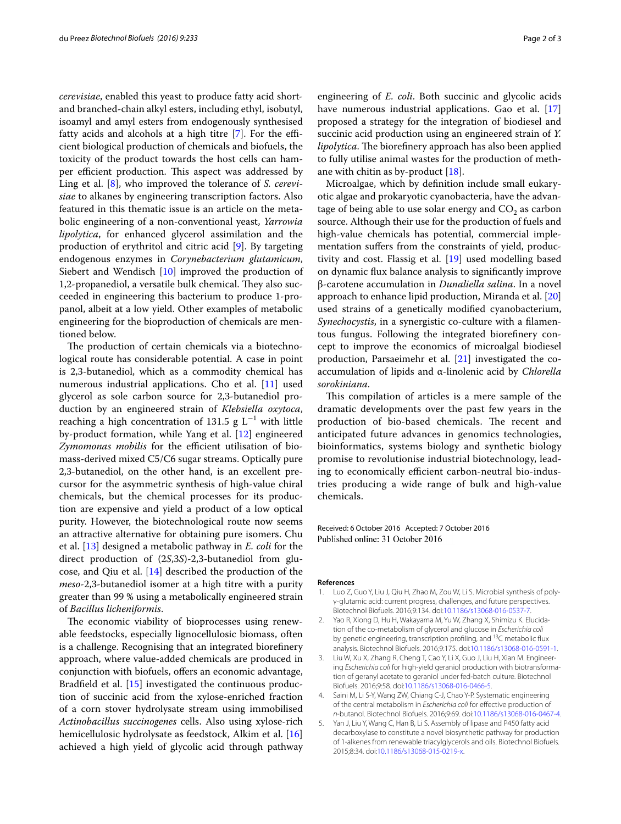*cerevisiae*, enabled this yeast to produce fatty acid shortand branched-chain alkyl esters, including ethyl, isobutyl, isoamyl and amyl esters from endogenously synthesised fatty acids and alcohols at a high titre [[7\]](#page-2-1). For the efficient biological production of chemicals and biofuels, the toxicity of the product towards the host cells can hamper efficient production. This aspect was addressed by Ling et al. [[8\]](#page-2-2), who improved the tolerance of *S. cerevisiae* to alkanes by engineering transcription factors. Also featured in this thematic issue is an article on the metabolic engineering of a non-conventional yeast, *Yarrowia lipolytica*, for enhanced glycerol assimilation and the production of erythritol and citric acid [\[9](#page-2-3)]. By targeting endogenous enzymes in *Corynebacterium glutamicum*, Siebert and Wendisch [\[10\]](#page-2-4) improved the production of 1,2-propanediol, a versatile bulk chemical. They also succeeded in engineering this bacterium to produce 1-propanol, albeit at a low yield. Other examples of metabolic engineering for the bioproduction of chemicals are mentioned below.

The production of certain chemicals via a biotechnological route has considerable potential. A case in point is 2,3-butanediol, which as a commodity chemical has numerous industrial applications. Cho et al. [[11\]](#page-2-5) used glycerol as sole carbon source for 2,3-butanediol production by an engineered strain of *Klebsiella oxytoca*, reaching a high concentration of 131.5  $g L^{-1}$  with little by-product formation, while Yang et al. [[12\]](#page-2-6) engineered *Zymomonas mobilis* for the efficient utilisation of biomass-derived mixed C5/C6 sugar streams. Optically pure 2,3-butanediol, on the other hand, is an excellent precursor for the asymmetric synthesis of high-value chiral chemicals, but the chemical processes for its production are expensive and yield a product of a low optical purity. However, the biotechnological route now seems an attractive alternative for obtaining pure isomers. Chu et al. [\[13](#page-2-7)] designed a metabolic pathway in *E. coli* for the direct production of (2*S*,3*S*)-2,3-butanediol from glucose, and Qiu et al. [[14\]](#page-2-8) described the production of the *meso*-2,3-butanediol isomer at a high titre with a purity greater than 99 % using a metabolically engineered strain of *Bacillus licheniformis*.

The economic viability of bioprocesses using renewable feedstocks, especially lignocellulosic biomass, often is a challenge. Recognising that an integrated biorefinery approach, where value-added chemicals are produced in conjunction with biofuels, offers an economic advantage, Bradfield et al. [[15\]](#page-2-9) investigated the continuous production of succinic acid from the xylose-enriched fraction of a corn stover hydrolysate stream using immobilised *Actinobacillus succinogenes* cells. Also using xylose-rich hemicellulosic hydrolysate as feedstock, Alkim et al. [[16](#page-2-10)] achieved a high yield of glycolic acid through pathway

engineering of *E. coli*. Both succinic and glycolic acids have numerous industrial applications. Gao et al. [[17](#page-2-11)] proposed a strategy for the integration of biodiesel and succinic acid production using an engineered strain of *Y. lipolytica*. The biorefinery approach has also been applied to fully utilise animal wastes for the production of methane with chitin as by-product [\[18](#page-2-12)].

Microalgae, which by definition include small eukaryotic algae and prokaryotic cyanobacteria, have the advantage of being able to use solar energy and  $CO<sub>2</sub>$  as carbon source. Although their use for the production of fuels and high-value chemicals has potential, commercial implementation suffers from the constraints of yield, productivity and cost. Flassig et al. [\[19](#page-2-13)] used modelling based on dynamic flux balance analysis to significantly improve β-carotene accumulation in *Dunaliella salina*. In a novel approach to enhance lipid production, Miranda et al. [[20](#page-2-14)] used strains of a genetically modified cyanobacterium, *Synechocystis*, in a synergistic co-culture with a filamentous fungus. Following the integrated biorefinery concept to improve the economics of microalgal biodiesel production, Parsaeimehr et al. [\[21\]](#page-2-15) investigated the coaccumulation of lipids and α-linolenic acid by *Chlorella sorokiniana*.

This compilation of articles is a mere sample of the dramatic developments over the past few years in the production of bio-based chemicals. The recent and anticipated future advances in genomics technologies, bioinformatics, systems biology and synthetic biology promise to revolutionise industrial biotechnology, leading to economically efficient carbon-neutral bio-industries producing a wide range of bulk and high-value chemicals.

Received: 6 October 2016 Accepted: 7 October 2016 Published online: 31 October 2016

## **References**

- <span id="page-1-0"></span>Luo Z, Guo Y, Liu J, Qiu H, Zhao M, Zou W, Li S. Microbial synthesis of polyγ-glutamic acid: current progress, challenges, and future perspectives. Biotechnol Biofuels. 2016;9:134. doi:[10.1186/s13068-016-0537-7.](http://dx.doi.org/10.1186/s13068-016-0537-7)
- <span id="page-1-1"></span>2. Yao R, Xiong D, Hu H, Wakayama M, Yu W, Zhang X, Shimizu K. Elucidation of the co-metabolism of glycerol and glucose in *Escherichia coli* by genetic engineering, transcription profiling, and <sup>13</sup>C metabolic flux analysis. Biotechnol Biofuels. 2016;9:175. doi[:10.1186/s13068-016-0591-1](http://dx.doi.org/10.1186/s13068-016-0591-1).
- <span id="page-1-2"></span>3. Liu W, Xu X, Zhang R, Cheng T, Cao Y, Li X, Guo J, Liu H, Xian M. Engineering *Escherichia coli* for high-yield geraniol production with biotransformation of geranyl acetate to geraniol under fed-batch culture. Biotechnol Biofuels. 2016;9:58. doi[:10.1186/s13068-016-0466-5](http://dx.doi.org/10.1186/s13068-016-0466-5).
- <span id="page-1-3"></span>4. Saini M, Li S-Y, Wang ZW, Chiang C-J, Chao Y-P. Systematic engineering of the central metabolism in *Escherichia coli* for effective production of *n*-butanol. Biotechnol Biofuels. 2016;9:69. doi[:10.1186/s13068-016-0467-4](http://dx.doi.org/10.1186/s13068-016-0467-4).
- <span id="page-1-4"></span>5. Yan J, Liu Y, Wang C, Han B, Li S. Assembly of lipase and P450 fatty acid decarboxylase to constitute a novel biosynthetic pathway for production of 1-alkenes from renewable triacylglycerols and oils. Biotechnol Biofuels. 2015;8:34. doi:[10.1186/s13068-015-0219-x](http://dx.doi.org/10.1186/s13068-015-0219-x).